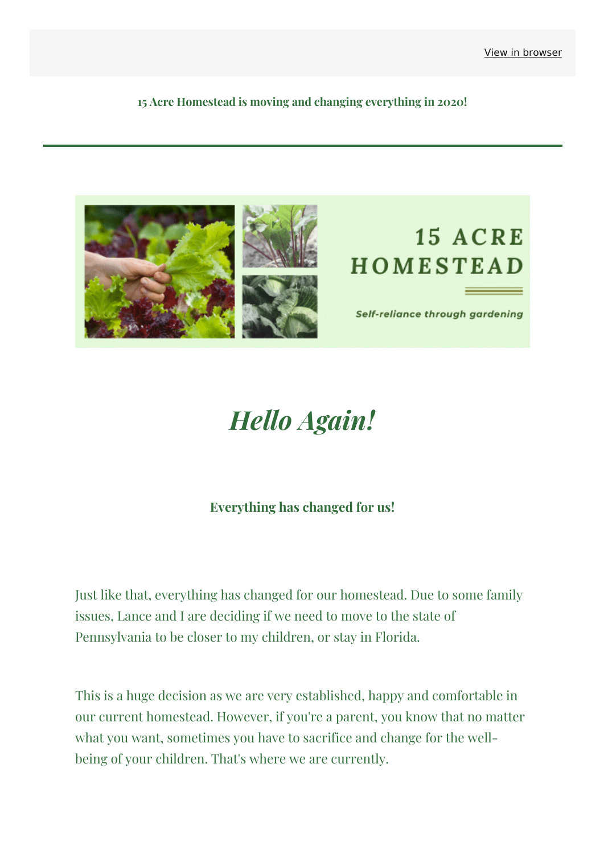**15 Acre Homestead is moving and changing everything in 2020!**



# *Hello Again!*

#### **Everything has changed for us!**

Just like that, everything has changed for our homestead. Due to some family issues, Lance and I are deciding if we need to move to the state of Pennsylvania to be closer to my children, or stay in Florida.

This is a huge decision as we are very established, happy and comfortable in our current homestead. However, if you're a parent, you know that no matter what you want, sometimes you have to sacrifice and change for the wellbeing of your children. That's where we are currently.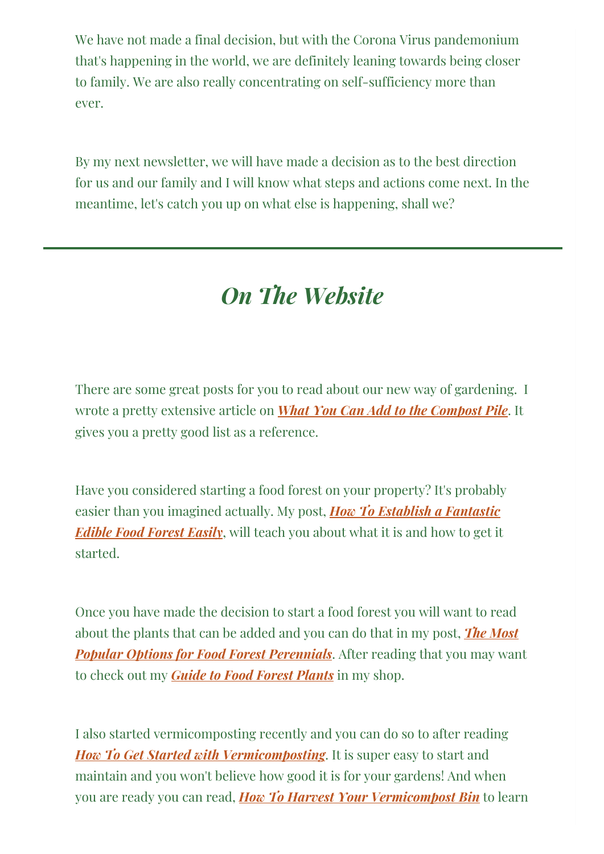We have not made a final decision, but with the Corona Virus pandemonium that's happening in the world, we are definitely leaning towards being closer to family. We are also really concentrating on self-sufficiency more than ever.

By my next newsletter, we will have made a decision as to the best direction for us and our family and I will know what steps and actions come next. In the meantime, let's catch you up on what else is happening, shall we?

## *On The Website*

There are some great posts for you to read about our new way of gardening. I wrote a pretty extensive article on *What You Can Add to the [Compost](https://15acrehomestead.com/compost-pile/?&utm_source=newsletter&utm_medium=email&utm_campaign=15_acre_homestead_is_moving&utm_term=2020-03-19) Pile*. It gives you a pretty good list as a reference.

Have you considered starting a food forest on your property? It's probably easier than you imagined actually. My post, *How To Establish a [Fantastic](https://15acrehomestead.com/edible-food-forest/?&utm_source=newsletter&utm_medium=email&utm_campaign=15_acre_homestead_is_moving&utm_term=2020-03-19) Edible Food Forest Easily*, will teach you about what it is and how to get it started.

Once you have made the decision to start a food forest you will want to read about the plants that can be added and you can do that in my post, *The Most Popular Options for Food Forest [Perennials](https://15acrehomestead.com/options-for-food-forest-perennials/?&utm_source=newsletter&utm_medium=email&utm_campaign=15_acre_homestead_is_moving&utm_term=2020-03-19)*. After reading that you may want to check out my *Guide to Food Forest [Plants](https://15acrehomestead.com/product/simple-guide-to-a-food-forest-information/?&utm_source=newsletter&utm_medium=email&utm_campaign=15_acre_homestead_is_moving&utm_term=2020-03-19)* in my shop.

I also started vermicomposting recently and you can do so to after reading *How To Get Started with [Vermicomposting](https://15acrehomestead.com/how-to-get-started-with-vermicomposting/?&utm_source=newsletter&utm_medium=email&utm_campaign=15_acre_homestead_is_moving&utm_term=2020-03-19)*. It is super easy to start and maintain and you won't believe how good it is for your gardens! And when you are ready you can read, *How To Harvest Your [Vermicompost](https://15acrehomestead.com/harvest-your-vermicomposting-bin/?&utm_source=newsletter&utm_medium=email&utm_campaign=15_acre_homestead_is_moving&utm_term=2020-03-19) Bin* to learn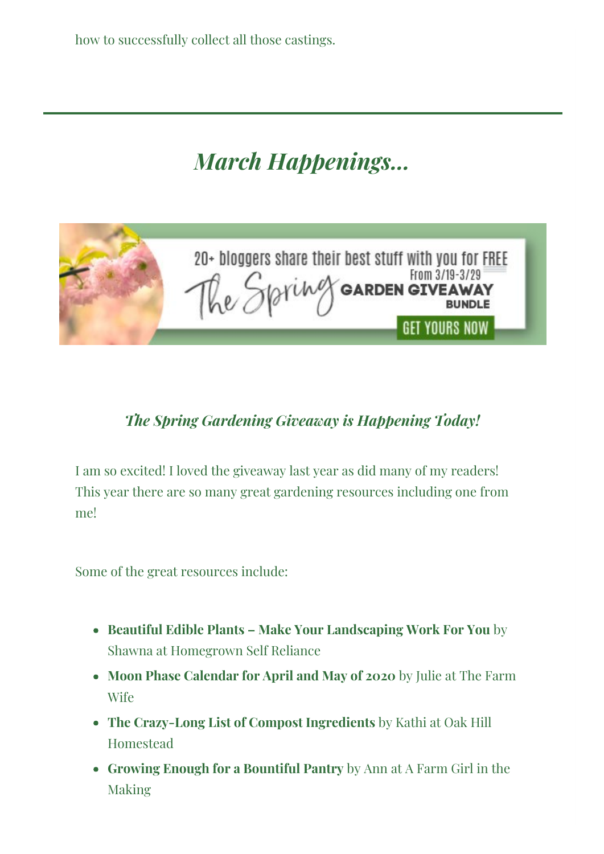how to successfully collect all those castings.

### *March Happenings...*



#### *The Spring Gardening Giveaway is Happening Today!*

I am so excited! I loved the giveaway last year as did many of my readers! This year there are so many great gardening resources including one from me!

Some of the great resources include:

- **Beautiful Edible Plants – Make Your Landscaping Work For You** by Shawna at Homegrown Self Reliance
- **Moon Phase Calendar for April and May of 2020** by Julie at The Farm Wife
- **The Crazy-Long List of Compost Ingredients** by Kathi at Oak Hill Homestead
- **Growing Enough for a Bountiful Pantry** by Ann at A Farm Girl in the Making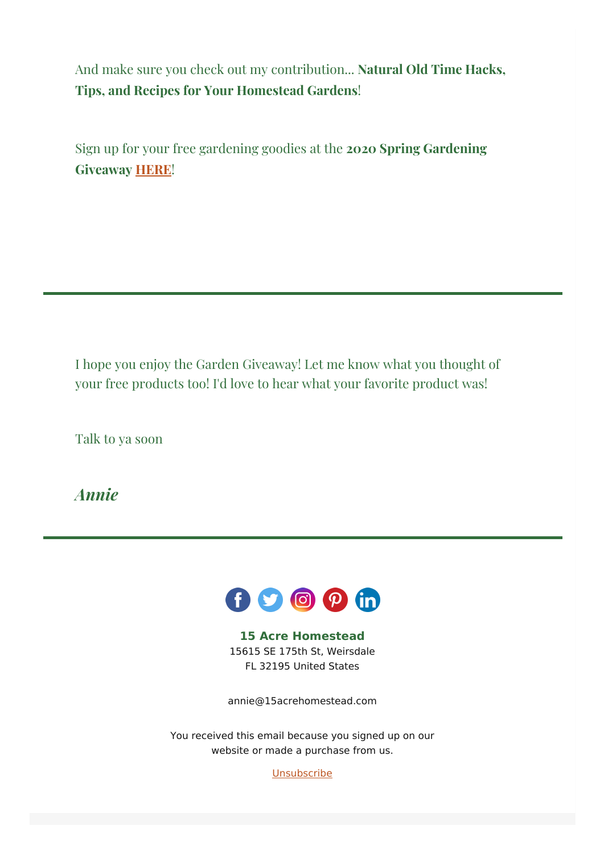And make sure you check out my contribution... **Natural Old Time Hacks, Tips, and Recipes for Your Homestead Gardens**!

Sign up for your free gardening goodies at the **2020 Spring Gardening Giveaway [HERE](https://gardenbundle.net/home-2/?&utm_source=newsletter&utm_medium=email&utm_campaign=15_acre_homestead_is_moving&utm_term=2020-03-19)**!

I hope you enjoy the Garden Giveaway! Let me know what you thought of your free products too! I'd love to hear what your favorite product was!

Talk to ya soon

*Annie*



**15 Acre Homestead** 15615 SE 175th St, Weirsdale FL 32195 United States

[annie@15acrehomestead.com](mailto:annie@15acrehomestead.com)

You received this email because you signed up on our website or made a purchase from us.

**[Unsubscribe](http://pdf.mailerlite.com/removessl_hex/68747470733a2f2f707265766965772e6d61696c65726c6974652e636f6d2f743663326737)**